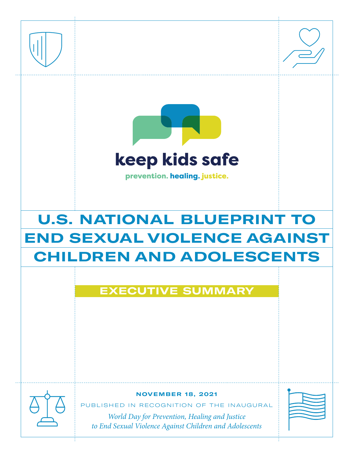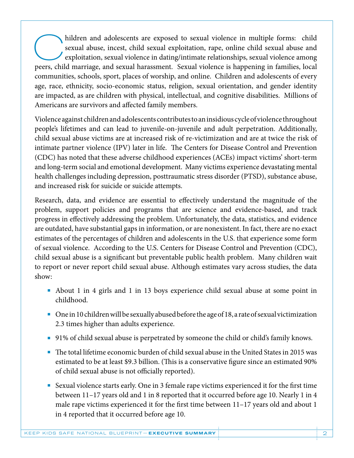hildren and adolescents are exposed to sexual violence in multiple forms: child sexual abuse, incest, child sexual exploitation, rape, online child sexual abuse and exploitation, sexual violence in dating/intimate relationships, sexual violence among peers, child marriage, and sexual harassment. Sexual violence is happening in families, local communities, schools, sport, places of worship, and online. Children and adolescents of every age, race, ethnicity, socio-economic status, religion, sexual orientation, and gender identity are impacted, as are children with physical, intellectual, and cognitive disabilities. Millions of Americans are survivors and affected family members.

Violence against children and adolescents contributes to an insidious cycle of violence throughout people's lifetimes and can lead to juvenile-on-juvenile and adult perpetration. Additionally, child sexual abuse victims are at increased risk of re-victimization and are at twice the risk of intimate partner violence (IPV) later in life. The Centers for Disease Control and Prevention (CDC) has noted that these adverse childhood experiences (ACEs) impact victims' short-term and long-term social and emotional development. Many victims experience devastating mental health challenges including depression, posttraumatic stress disorder (PTSD), substance abuse, and increased risk for suicide or suicide attempts.

Research, data, and evidence are essential to effectively understand the magnitude of the problem, support policies and programs that are science and evidence-based, and track progress in effectively addressing the problem. Unfortunately, the data, statistics, and evidence are outdated, have substantial gaps in information, or are nonexistent. In fact, there are no exact estimates of the percentages of children and adolescents in the U.S. that experience some form of sexual violence. According to the U.S. Centers for Disease Control and Prevention (CDC), child sexual abuse is a significant but preventable public health problem. Many children wait to report or never report child sexual abuse. Although estimates vary across studies, the data show:

- About 1 in 4 girls and 1 in 13 boys experience child sexual abuse at some point in childhood.
- One in 10 children will be sexually abused before the age of 18, a rate of sexual victimization 2.3 times higher than adults experience.
- 91% of child sexual abuse is perpetrated by someone the child or child's family knows.
- The total lifetime economic burden of child sexual abuse in the United States in 2015 was estimated to be at least \$9.3 billion. (This is a conservative figure since an estimated 90% of child sexual abuse is not officially reported).
- Sexual violence starts early. One in 3 female rape victims experienced it for the first time between 11–17 years old and 1 in 8 reported that it occurred before age 10. Nearly 1 in 4 male rape victims experienced it for the first time between 11–17 years old and about 1 in 4 reported that it occurred before age 10.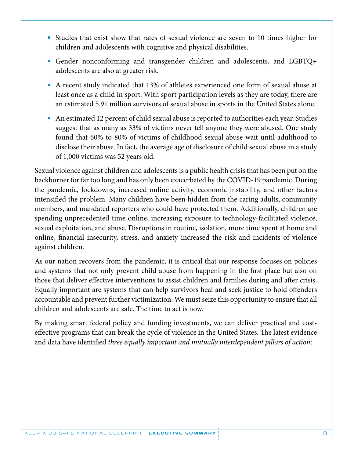- Studies that exist show that rates of sexual violence are seven to 10 times higher for children and adolescents with cognitive and physical disabilities.
- Gender nonconforming and transgender children and adolescents, and LGBTQ+ adolescents are also at greater risk.
- A recent study indicated that 13% of athletes experienced one form of sexual abuse at least once as a child in sport. With sport participation levels as they are today, there are an estimated 5.91 million survivors of sexual abuse in sports in the United States alone.
- An estimated 12 percent of child sexual abuse is reported to authorities each year. Studies suggest that as many as 33% of victims never tell anyone they were abused. One study found that 60% to 80% of victims of childhood sexual abuse wait until adulthood to disclose their abuse. In fact, the average age of disclosure of child sexual abuse in a study of 1,000 victims was 52 years old.

Sexual violence against children and adolescents is a public health crisis that has been put on the backburner for far too long and has only been exacerbated by the COVID-19 pandemic. During the pandemic, lockdowns, increased online activity, economic instability, and other factors intensified the problem. Many children have been hidden from the caring adults, community members, and mandated reporters who could have protected them. Additionally, children are spending unprecedented time online, increasing exposure to technology-facilitated violence, sexual exploitation, and abuse. Disruptions in routine, isolation, more time spent at home and online, financial insecurity, stress, and anxiety increased the risk and incidents of violence against children.

As our nation recovers from the pandemic, it is critical that our response focuses on policies and systems that not only prevent child abuse from happening in the first place but also on those that deliver effective interventions to assist children and families during and after crisis. Equally important are systems that can help survivors heal and seek justice to hold offenders accountable and prevent further victimization. We must seize this opportunity to ensure that all children and adolescents are safe. The time to act is now.

By making smart federal policy and funding investments, we can deliver practical and costeffective programs that can break the cycle of violence in the United States. The latest evidence and data have identified *three equally important and mutually interdependent pillars of action*: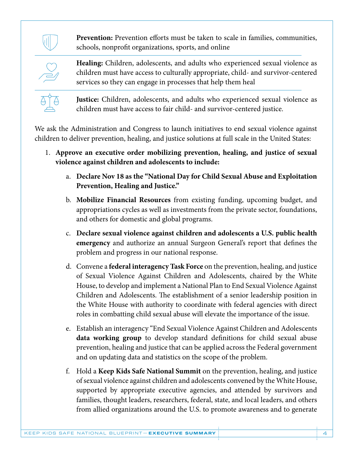

**Prevention:** Prevention efforts must be taken to scale in families, communities, schools, nonprofit organizations, sports, and online



**Healing:** Children, adolescents, and adults who experienced sexual violence as children must have access to culturally appropriate, child- and survivor-centered services so they can engage in processes that help them heal



**Justice:** Children, adolescents, and adults who experienced sexual violence as children must have access to fair child- and survivor-centered justice.

We ask the Administration and Congress to launch initiatives to end sexual violence against children to deliver prevention, healing, and justice solutions at full scale in the United States:

- 1. **Approve an executive order mobilizing prevention, healing, and justice of sexual violence against children and adolescents to include:**
	- a. **Declare Nov 18 as the "National Day for Child Sexual Abuse and Exploitation Prevention, Healing and Justice."**
	- b. **Mobilize Financial Resources** from existing funding, upcoming budget, and appropriations cycles as well as investments from the private sector, foundations, and others for domestic and global programs.
	- c. **Declare sexual violence against children and adolescents a U.S. public health emergency** and authorize an annual Surgeon General's report that defines the problem and progress in our national response.
	- d. Convene a **federal interagency Task Force** on the prevention, healing, and justice of Sexual Violence Against Children and Adolescents, chaired by the White House, to develop and implement a National Plan to End Sexual Violence Against Children and Adolescents. The establishment of a senior leadership position in the White House with authority to coordinate with federal agencies with direct roles in combatting child sexual abuse will elevate the importance of the issue.
	- e. Establish an interagency "End Sexual Violence Against Children and Adolescents **data working group** to develop standard definitions for child sexual abuse prevention, healing and justice that can be applied across the Federal government and on updating data and statistics on the scope of the problem.
	- f. Hold a **Keep Kids Safe National Summit** on the prevention, healing, and justice of sexual violence against children and adolescents convened by the White House, supported by appropriate executive agencies, and attended by survivors and families, thought leaders, researchers, federal, state, and local leaders, and others from allied organizations around the U.S. to promote awareness and to generate